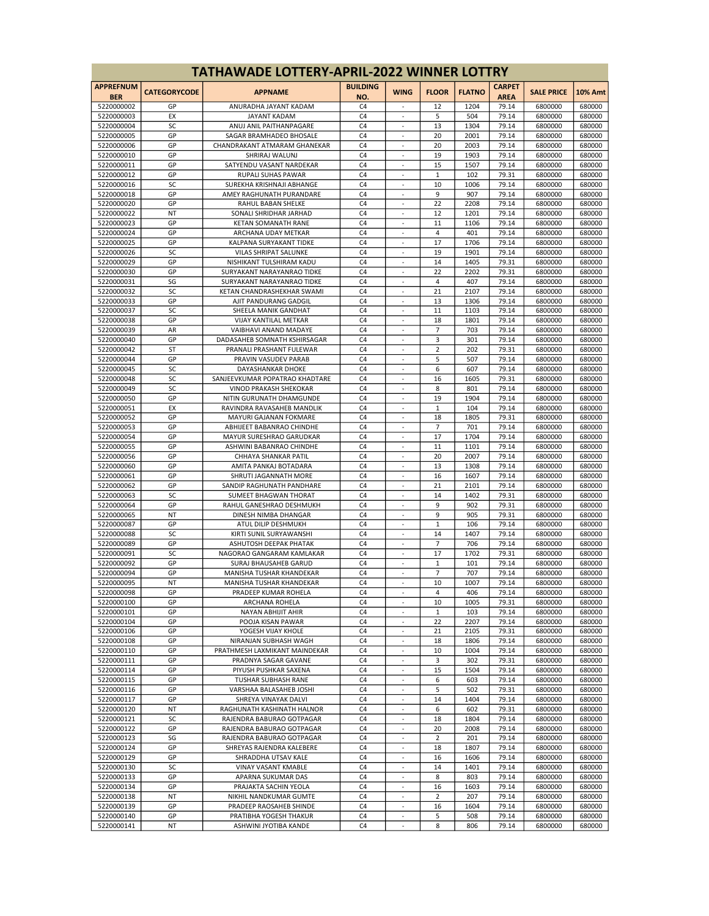| <b>TATHAWADE LOTTERY-APRIL-2022 WINNER LOTTRY</b> |                     |                                                        |                                  |                                                      |              |               |                              |                    |                  |
|---------------------------------------------------|---------------------|--------------------------------------------------------|----------------------------------|------------------------------------------------------|--------------|---------------|------------------------------|--------------------|------------------|
| <b>APPREFNUM</b><br><b>BER</b>                    | <b>CATEGORYCODE</b> | <b>APPNAME</b>                                         | <b>BUILDING</b><br>NO.           | <b>WING</b>                                          | <b>FLOOR</b> | <b>FLATNO</b> | <b>CARPET</b><br><b>AREA</b> | <b>SALE PRICE</b>  | <b>10% Amt</b>   |
| 5220000002                                        | GP                  | ANURADHA JAYANT KADAM                                  | C <sub>4</sub>                   |                                                      | 12           | 1204          | 79.14                        | 6800000            | 680000           |
| 5220000003                                        | EX                  | <b>JAYANT KADAM</b>                                    | C <sub>4</sub>                   | ÷                                                    | 5            | 504           | 79.14                        | 6800000            | 680000           |
| 5220000004                                        | SC                  | ANUJ ANIL PAITHANPAGARE                                | C <sub>4</sub>                   | $\sim$                                               | 13           | 1304          | 79.14                        | 6800000            | 680000           |
| 5220000005                                        | GP                  | SAGAR BRAMHADEO BHOSALE                                | C <sub>4</sub>                   | $\overline{\phantom{a}}$                             | 20           | 2001          | 79.14                        | 6800000            | 680000           |
| 5220000006<br>5220000010                          | GP<br>GP            | CHANDRAKANT ATMARAM GHANEKAR<br>SHRIRAJ WALUNJ         | C <sub>4</sub><br>C <sub>4</sub> | $\overline{\phantom{a}}$                             | 20<br>19     | 2003<br>1903  | 79.14<br>79.14               | 6800000<br>6800000 | 680000<br>680000 |
| 5220000011                                        | GP                  | SATYENDU VASANT NARDEKAR                               | C <sub>4</sub>                   | ÷,                                                   | 15           | 1507          | 79.14                        | 6800000            | 680000           |
| 5220000012                                        | GP                  | RUPALI SUHAS PAWAR                                     | C <sub>4</sub>                   | $\sim$                                               | $\mathbf{1}$ | 102           | 79.31                        | 6800000            | 680000           |
| 5220000016                                        | SC                  | SUREKHA KRISHNAJI ABHANGE                              | C <sub>4</sub>                   | $\overline{\phantom{a}}$                             | 10           | 1006          | 79.14                        | 6800000            | 680000           |
| 5220000018                                        | GP                  | AMEY RAGHUNATH PURANDARE                               | C <sub>4</sub>                   | $\overline{\phantom{a}}$                             | 9            | 907           | 79.14                        | 6800000            | 680000           |
| 5220000020                                        | GP                  | RAHUL BABAN SHELKE                                     | C <sub>4</sub>                   |                                                      | 22           | 2208          | 79.14                        | 6800000            | 680000           |
| 5220000022                                        | NT<br>GP            | SONALI SHRIDHAR JARHAD<br><b>KETAN SOMANATH RANE</b>   | C <sub>4</sub><br>C <sub>4</sub> | ÷,<br>$\sim$                                         | 12           | 1201<br>1106  | 79.14                        | 6800000            | 680000           |
| 5220000023<br>5220000024                          | GP                  | ARCHANA UDAY METKAR                                    | C <sub>4</sub>                   | $\overline{\phantom{a}}$                             | 11<br>4      | 401           | 79.14<br>79.14               | 6800000<br>6800000 | 680000<br>680000 |
| 5220000025                                        | GP                  | KALPANA SURYAKANT TIDKE                                | C <sub>4</sub>                   | $\overline{\phantom{a}}$                             | 17           | 1706          | 79.14                        | 6800000            | 680000           |
| 5220000026                                        | SC                  | VILAS SHRIPAT SALUNKE                                  | C <sub>4</sub>                   |                                                      | 19           | 1901          | 79.14                        | 6800000            | 680000           |
| 5220000029                                        | GP                  | NISHIKANT TULSHIRAM KADU                               | C <sub>4</sub>                   | ÷,                                                   | 14           | 1405          | 79.31                        | 6800000            | 680000           |
| 5220000030                                        | GP                  | SURYAKANT NARAYANRAO TIDKE                             | C <sub>4</sub>                   | $\sim$                                               | 22           | 2202          | 79.31                        | 6800000            | 680000           |
| 5220000031                                        | SG                  | SURYAKANT NARAYANRAO TIDKE                             | C <sub>4</sub>                   | $\overline{\phantom{a}}$                             | 4            | 407           | 79.14                        | 6800000            | 680000           |
| 5220000032<br>5220000033                          | SC<br>GP            | KETAN CHANDRASHEKHAR SWAMI<br>AJIT PANDURANG GADGIL    | C <sub>4</sub><br>C <sub>4</sub> | $\overline{\phantom{a}}$                             | 21<br>13     | 2107<br>1306  | 79.14<br>79.14               | 6800000<br>6800000 | 680000<br>680000 |
| 5220000037                                        | SC                  | SHEELA MANIK GANDHAT                                   | C <sub>4</sub>                   | ÷,                                                   | 11           | 1103          | 79.14                        | 6800000            | 680000           |
| 5220000038                                        | GP                  | <b>VIJAY KANTILAL METKAR</b>                           | C <sub>4</sub>                   | $\sim$                                               | 18           | 1801          | 79.14                        | 6800000            | 680000           |
| 5220000039                                        | AR                  | VAIBHAVI ANAND MADAYE                                  | C <sub>4</sub>                   | $\overline{\phantom{a}}$                             | 7            | 703           | 79.14                        | 6800000            | 680000           |
| 5220000040                                        | GP                  | DADASAHEB SOMNATH KSHIRSAGAR                           | C <sub>4</sub>                   | $\overline{\phantom{a}}$                             | 3            | 301           | 79.14                        | 6800000            | 680000           |
| 5220000042                                        | ST                  | PRANALI PRASHANT FULEWAR                               | C <sub>4</sub>                   |                                                      | 2            | 202           | 79.31                        | 6800000            | 680000           |
| 5220000044<br>5220000045                          | GP<br>SC            | PRAVIN VASUDEV PARAB<br>DAYASHANKAR DHOKE              | C <sub>4</sub><br>C <sub>4</sub> | ÷,<br>$\sim$                                         | 5<br>6       | 507<br>607    | 79.14<br>79.14               | 6800000            | 680000           |
| 5220000048                                        | SC                  | SANJEEVKUMAR POPATRAO KHADTARE                         | C <sub>4</sub>                   | $\overline{\phantom{a}}$                             | 16           | 1605          | 79.31                        | 6800000<br>6800000 | 680000<br>680000 |
| 5220000049                                        | SC                  | <b>VINOD PRAKASH SHEKOKAR</b>                          | C <sub>4</sub>                   | $\overline{\phantom{a}}$                             | 8            | 801           | 79.14                        | 6800000            | 680000           |
| 5220000050                                        | GP                  | NITIN GURUNATH DHAMGUNDE                               | C <sub>4</sub>                   |                                                      | 19           | 1904          | 79.14                        | 6800000            | 680000           |
| 5220000051                                        | EX                  | RAVINDRA RAVASAHEB MANDLIK                             | C <sub>4</sub>                   | ÷,                                                   | $\mathbf{1}$ | 104           | 79.14                        | 6800000            | 680000           |
| 5220000052                                        | GP                  | MAYURI GAJANAN FOKMARE                                 | C <sub>4</sub>                   | $\sim$                                               | 18           | 1805          | 79.31                        | 6800000            | 680000           |
| 5220000053                                        | GP                  | ABHIJEET BABANRAO CHINDHE                              | C <sub>4</sub>                   | $\overline{\phantom{a}}$                             | 7            | 701           | 79.14                        | 6800000            | 680000           |
| 5220000054<br>5220000055                          | GP<br>GP            | MAYUR SURESHRAO GARUDKAR<br>ASHWINI BABANRAO CHINDHE   | C <sub>4</sub><br>C <sub>4</sub> | $\overline{\phantom{a}}$                             | 17<br>11     | 1704<br>1101  | 79.14<br>79.14               | 6800000<br>6800000 | 680000<br>680000 |
| 5220000056                                        | GP                  | CHHAYA SHANKAR PATIL                                   | C <sub>4</sub>                   | ÷,                                                   | 20           | 2007          | 79.14                        | 6800000            | 680000           |
| 5220000060                                        | GP                  | AMITA PANKAJ BOTADARA                                  | C <sub>4</sub>                   | $\sim$                                               | 13           | 1308          | 79.14                        | 6800000            | 680000           |
| 5220000061                                        | GP                  | SHRUTI JAGANNATH MORE                                  | C <sub>4</sub>                   | $\overline{\phantom{a}}$                             | 16           | 1607          | 79.14                        | 6800000            | 680000           |
| 5220000062                                        | GP                  | SANDIP RAGHUNATH PANDHARE                              | C <sub>4</sub>                   | $\overline{\phantom{a}}$                             | 21           | 2101          | 79.14                        | 6800000            | 680000           |
| 5220000063                                        | SC                  | SUMEET BHAGWAN THORAT                                  | C <sub>4</sub>                   | ÷,                                                   | 14           | 1402          | 79.31                        | 6800000            | 680000           |
| 5220000064<br>5220000065                          | GP<br>NT            | RAHUL GANESHRAO DESHMUKH<br>DINESH NIMBA DHANGAR       | C <sub>4</sub><br>C <sub>4</sub> | $\sim$                                               | 9<br>9       | 902<br>905    | 79.31<br>79.31               | 6800000<br>6800000 | 680000<br>680000 |
| 5220000087                                        | GP                  | ATUL DILIP DESHMUKH                                    | C <sub>4</sub>                   | $\overline{\phantom{a}}$                             | $\mathbf 1$  | 106           | 79.14                        | 6800000            | 680000           |
| 5220000088                                        | SC                  | KIRTI SUNIL SURYAWANSHI                                | C <sub>4</sub>                   | $\overline{\phantom{a}}$                             | 14           | 1407          | 79.14                        | 6800000            | 680000           |
| 5220000089                                        | GP                  | ASHUTOSH DEEPAK PHATAK                                 | C <sub>4</sub>                   |                                                      | 7            | 706           | 79.14                        | 6800000            | 680000           |
| 5220000091                                        | SC                  | NAGORAO GANGARAM KAMLAKAR                              | C <sub>4</sub>                   | ÷,                                                   | 17           | 1702          | 79.31                        | 6800000            | 680000           |
| 5220000092                                        | GP                  | <b>SURAJ BHAUSAHEB GARUD</b>                           | C <sub>4</sub>                   | ÷,                                                   | $\mathbf{1}$ | 101           | 79.14                        | 6800000            | 680000           |
| 5220000094<br>5220000095                          | GP<br><b>NT</b>     | MANISHA TUSHAR KHANDEKAR<br>MANISHA TUSHAR KHANDEKAR   | C <sub>4</sub><br>C <sub>4</sub> | $\overline{\phantom{a}}$                             | 7<br>10      | 707<br>1007   | 79.14<br>79.14               | 6800000<br>6800000 | 680000<br>680000 |
| 5220000098                                        | GP                  | PRADEEP KUMAR ROHELA                                   | C4                               |                                                      | 4            | 406           | 79.14                        | 6800000            | 680000           |
| 5220000100                                        | GP                  | ARCHANA ROHELA                                         | C4                               | ÷,                                                   | 10           | 1005          | 79.31                        | 6800000            | 680000           |
| 5220000101                                        | GP                  | NAYAN ABHIJIT AHIR                                     | C <sub>4</sub>                   | ÷.                                                   | $\mathbf{1}$ | 103           | 79.14                        | 6800000            | 680000           |
| 5220000104                                        | GP                  | POOJA KISAN PAWAR                                      | C <sub>4</sub>                   | $\overline{\phantom{a}}$                             | 22           | 2207          | 79.14                        | 6800000            | 680000           |
| 5220000106                                        | GP                  | YOGESH VIJAY KHOLE                                     | C4                               | $\overline{\phantom{a}}$                             | 21           | 2105          | 79.31                        | 6800000            | 680000           |
| 5220000108<br>5220000110                          | GP<br>GP            | NIRANJAN SUBHASH WAGH<br>PRATHMESH LAXMIKANT MAINDEKAR | C <sub>4</sub><br>C4             | ÷,                                                   | 18<br>10     | 1806<br>1004  | 79.14<br>79.14               | 6800000<br>6800000 | 680000<br>680000 |
| 5220000111                                        | GP                  | PRADNYA SAGAR GAVANE                                   | C4                               | ÷.                                                   | 3            | 302           | 79.31                        | 6800000            | 680000           |
| 5220000114                                        | GP                  | PIYUSH PUSHKAR SAXENA                                  | C <sub>4</sub>                   | $\overline{\phantom{a}}$                             | 15           | 1504          | 79.14                        | 6800000            | 680000           |
| 5220000115                                        | GP                  | TUSHAR SUBHASH RANE                                    | C4                               | $\overline{\phantom{a}}$                             | 6            | 603           | 79.14                        | 6800000            | 680000           |
| 5220000116                                        | GP                  | VARSHAA BALASAHEB JOSHI                                | C <sub>4</sub>                   |                                                      | 5            | 502           | 79.31                        | 6800000            | 680000           |
| 5220000117                                        | GP                  | SHREYA VINAYAK DALVI                                   | C4                               | ÷,                                                   | 14           | 1404          | 79.14                        | 6800000            | 680000           |
| 5220000120                                        | NT                  | RAGHUNATH KASHINATH HALNOR                             | C4                               | $\omega$                                             | 6            | 602           | 79.31                        | 6800000            | 680000           |
| 5220000121<br>5220000122                          | SC<br>GP            | RAJENDRA BABURAO GOTPAGAR<br>RAJENDRA BABURAO GOTPAGAR | C4<br>C <sub>4</sub>             | $\overline{\phantom{a}}$<br>$\overline{\phantom{a}}$ | 18<br>20     | 1804<br>2008  | 79.14<br>79.14               | 6800000<br>6800000 | 680000<br>680000 |
| 5220000123                                        | SG                  | RAJENDRA BABURAO GOTPAGAR                              | C <sub>4</sub>                   |                                                      | 2            | 201           | 79.14                        | 6800000            | 680000           |
| 5220000124                                        | GP                  | SHREYAS RAJENDRA KALEBERE                              | C4                               | ÷,                                                   | 18           | 1807          | 79.14                        | 6800000            | 680000           |
| 5220000129                                        | GP                  | SHRADDHA UTSAV KALE                                    | C4                               | ÷.                                                   | 16           | 1606          | 79.14                        | 6800000            | 680000           |
| 5220000130                                        | SC                  | VINAY VASANT KMABLE                                    | C <sub>4</sub>                   | $\overline{\phantom{a}}$                             | 14           | 1401          | 79.14                        | 6800000            | 680000           |
| 5220000133                                        | GP                  | APARNA SUKUMAR DAS                                     | C4                               | $\overline{\phantom{a}}$                             | 8            | 803           | 79.14                        | 6800000            | 680000           |
| 5220000134                                        | GP                  | PRAJAKTA SACHIN YEOLA                                  | C <sub>4</sub><br>C4             | ÷,                                                   | 16           | 1603          | 79.14                        | 6800000            | 680000           |
| 5220000138<br>5220000139                          | <b>NT</b><br>GP     | NIKHIL NANDKUMAR GUMTE<br>PRADEEP RAOSAHEB SHINDE      | C4                               | $\omega$                                             | 2<br>16      | 207<br>1604   | 79.14<br>79.14               | 6800000<br>6800000 | 680000<br>680000 |
| 5220000140                                        | GP                  | PRATIBHA YOGESH THAKUR                                 | C4                               | $\overline{\phantom{a}}$                             | 5            | 508           | 79.14                        | 6800000            | 680000           |
| 5220000141                                        | NT                  | ASHWINI JYOTIBA KANDE                                  | C <sub>4</sub>                   | $\blacksquare$                                       | 8            | 806           | 79.14                        | 6800000            | 680000           |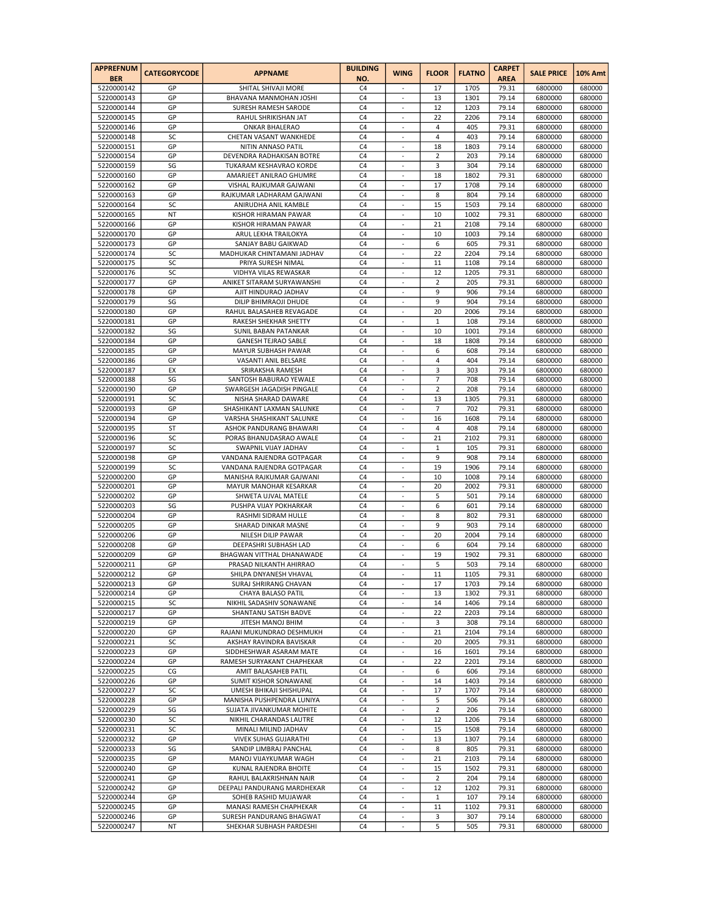| <b>APPREFNUM</b><br><b>BER</b> | <b>CATEGORYCODE</b> | <b>APPNAME</b>                                       | <b>BUILDING</b><br>NO.           | <b>WING</b>                    | <b>FLOOR</b>         | <b>FLATNO</b> | <b>CARPET</b><br><b>AREA</b> | <b>SALE PRICE</b>  | <b>10% Amt</b>   |
|--------------------------------|---------------------|------------------------------------------------------|----------------------------------|--------------------------------|----------------------|---------------|------------------------------|--------------------|------------------|
| 5220000142                     | GP                  | SHITAL SHIVAJI MORE                                  | C <sub>4</sub>                   |                                | 17                   | 1705          | 79.31                        | 6800000            | 680000           |
| 5220000143                     | GP                  | BHAVANA MANMOHAN JOSHI                               | C <sub>4</sub>                   | ÷,                             | 13                   | 1301          | 79.14                        | 6800000            | 680000           |
| 5220000144                     | GP                  | SURESH RAMESH SARODE                                 | C <sub>4</sub>                   | $\blacksquare$                 | 12                   | 1203          | 79.14                        | 6800000            | 680000           |
| 5220000145                     | GP                  | RAHUL SHRIKISHAN JAT                                 | C <sub>4</sub>                   |                                | 22                   | 2206          | 79.14                        | 6800000            | 680000           |
| 5220000146                     | GP                  | <b>ONKAR BHALERAO</b>                                | C <sub>4</sub>                   | $\overline{\phantom{a}}$       | 4                    | 405           | 79.31                        | 6800000            | 680000           |
| 5220000148                     | SC                  | CHETAN VASANT WANKHEDE                               | C <sub>4</sub>                   |                                | 4                    | 403           | 79.14                        | 6800000            | 680000           |
| 5220000151                     | GP<br>GP            | NITIN ANNASO PATIL                                   | C <sub>4</sub><br>C <sub>4</sub> | ÷,                             | 18                   | 1803          | 79.14                        | 6800000            | 680000           |
| 5220000154<br>5220000159       | SG                  | DEVENDRA RADHAKISAN BOTRE<br>TUKARAM KESHAVRAO KORDE | C <sub>4</sub>                   | $\overline{\phantom{a}}$<br>٠  | 2<br>3               | 203<br>304    | 79.14<br>79.14               | 6800000<br>6800000 | 680000<br>680000 |
| 5220000160                     | GP                  | AMARJEET ANILRAO GHUMRE                              | C <sub>4</sub>                   | $\sim$                         | 18                   | 1802          | 79.31                        | 6800000            | 680000           |
| 5220000162                     | GP                  | VISHAL RAJKUMAR GAJWANI                              | C <sub>4</sub>                   |                                | 17                   | 1708          | 79.14                        | 6800000            | 680000           |
| 5220000163                     | GP                  | RAJKUMAR LADHARAM GAJWANI                            | C <sub>4</sub>                   | ÷,                             | 8                    | 804           | 79.14                        | 6800000            | 680000           |
| 5220000164                     | SC                  | ANIRUDHA ANIL KAMBLE                                 | C <sub>4</sub>                   | $\overline{\phantom{a}}$       | 15                   | 1503          | 79.14                        | 6800000            | 680000           |
| 5220000165                     | NT                  | KISHOR HIRAMAN PAWAR                                 | C <sub>4</sub>                   | ٠.                             | 10                   | 1002          | 79.31                        | 6800000            | 680000           |
| 5220000166                     | GP                  | KISHOR HIRAMAN PAWAR                                 | C <sub>4</sub>                   | $\sim$                         | 21                   | 2108          | 79.14                        | 6800000            | 680000           |
| 5220000170                     | GP                  | ARUL LEKHA TRAILOKYA                                 | C <sub>4</sub>                   |                                | 10                   | 1003          | 79.14                        | 6800000            | 680000           |
| 5220000173                     | GP                  | SANJAY BABU GAIKWAD                                  | C <sub>4</sub>                   | ÷,                             | 6                    | 605           | 79.31                        | 6800000            | 680000           |
| 5220000174                     | SC                  | MADHUKAR CHINTAMANI JADHAV                           | C <sub>4</sub>                   | $\overline{\phantom{a}}$       | 22                   | 2204          | 79.14                        | 6800000            | 680000           |
| 5220000175                     | SC<br>SC            | PRIYA SURESH NIMAL                                   | C <sub>4</sub><br>C <sub>4</sub> | ٠.<br>$\sim$                   | 11<br>12             | 1108<br>1205  | 79.14<br>79.31               | 6800000            | 680000           |
| 5220000176<br>5220000177       | GP                  | VIDHYA VILAS REWASKAR<br>ANIKET SITARAM SURYAWANSHI  | C <sub>4</sub>                   |                                | $\overline{2}$       | 205           | 79.31                        | 6800000<br>6800000 | 680000<br>680000 |
| 5220000178                     | GP                  | AJIT HINDURAO JADHAV                                 | C <sub>4</sub>                   | ÷,                             | 9                    | 906           | 79.14                        | 6800000            | 680000           |
| 5220000179                     | SG                  | DILIP BHIMRAOJI DHUDE                                | C <sub>4</sub>                   | $\overline{\phantom{a}}$       | 9                    | 904           | 79.14                        | 6800000            | 680000           |
| 5220000180                     | GP                  | RAHUL BALASAHEB REVAGADE                             | C <sub>4</sub>                   | $\overline{a}$                 | 20                   | 2006          | 79.14                        | 6800000            | 680000           |
| 5220000181                     | GP                  | RAKESH SHEKHAR SHETTY                                | C <sub>4</sub>                   | $\sim$                         | $\mathbf 1$          | 108           | 79.14                        | 6800000            | 680000           |
| 5220000182                     | SG                  | SUNIL BABAN PATANKAR                                 | C <sub>4</sub>                   | ÷,                             | 10                   | 1001          | 79.14                        | 6800000            | 680000           |
| 5220000184                     | GP                  | <b>GANESH TEJRAO SABLE</b>                           | C <sub>4</sub>                   | ÷,                             | 18                   | 1808          | 79.14                        | 6800000            | 680000           |
| 5220000185                     | GP                  | MAYUR SUBHASH PAWAR                                  | C <sub>4</sub>                   | $\overline{\phantom{a}}$       | 6                    | 608           | 79.14                        | 6800000            | 680000           |
| 5220000186                     | GP                  | VASANTI ANIL BELSARE                                 | C <sub>4</sub>                   | ٠.                             | 4                    | 404           | 79.14                        | 6800000            | 680000           |
| 5220000187                     | EX                  | SRIRAKSHA RAMESH                                     | C <sub>4</sub>                   | $\sim$                         | 3                    | 303           | 79.14                        | 6800000            | 680000           |
| 5220000188                     | SG                  | SANTOSH BABURAO YEWALE                               | C4                               | ÷,                             | 7                    | 708           | 79.14                        | 6800000            | 680000           |
| 5220000190<br>5220000191       | GP<br>SC            | SWARGESH JAGADISH PINGALE                            | C <sub>4</sub><br>C <sub>4</sub> | ÷,<br>$\overline{\phantom{a}}$ | $\overline{2}$<br>13 | 208<br>1305   | 79.14<br>79.31               | 6800000            | 680000<br>680000 |
| 5220000193                     | GP                  | NISHA SHARAD DAWARE<br>SHASHIKANT LAXMAN SALUNKE     | C <sub>4</sub>                   | ٠                              | 7                    | 702           | 79.31                        | 6800000<br>6800000 | 680000           |
| 5220000194                     | GP                  | VARSHA SHASHIKANT SALUNKE                            | C <sub>4</sub>                   | $\sim$                         | 16                   | 1608          | 79.14                        | 6800000            | 680000           |
| 5220000195                     | ST                  | ASHOK PANDURANG BHAWARI                              | C <sub>4</sub>                   |                                | 4                    | 408           | 79.14                        | 6800000            | 680000           |
| 5220000196                     | SC                  | PORAS BHANUDASRAO AWALE                              | C <sub>4</sub>                   | ÷.                             | 21                   | 2102          | 79.31                        | 6800000            | 680000           |
| 5220000197                     | SC                  | SWAPNIL VIJAY JADHAV                                 | C <sub>4</sub>                   | $\overline{\phantom{a}}$       | 1                    | 105           | 79.31                        | 6800000            | 680000           |
| 5220000198                     | GP                  | VANDANA RAJENDRA GOTPAGAR                            | C <sub>4</sub>                   | ٠.                             | 9                    | 908           | 79.14                        | 6800000            | 680000           |
| 5220000199                     | SC                  | VANDANA RAJENDRA GOTPAGAR                            | C <sub>4</sub>                   | $\sim$                         | 19                   | 1906          | 79.14                        | 6800000            | 680000           |
| 5220000200                     | GP                  | MANISHA RAJKUMAR GAJWANI                             | C4                               | ÷,                             | 10                   | 1008          | 79.14                        | 6800000            | 680000           |
| 5220000201                     | GP                  | MAYUR MANOHAR KESARKAR                               | C <sub>4</sub>                   | ÷,                             | 20                   | 2002          | 79.31                        | 6800000            | 680000           |
| 5220000202                     | GP                  | SHWETA UJVAL MATELE                                  | C <sub>4</sub>                   | $\overline{\phantom{a}}$       | 5                    | 501           | 79.14                        | 6800000            | 680000           |
| 5220000203                     | SG                  | PUSHPA VIJAY POKHARKAR                               | C <sub>4</sub>                   | ٠                              | 6                    | 601           | 79.14                        | 6800000            | 680000           |
| 5220000204<br>5220000205       | GP<br>GP            | <b>RASHMI SIDRAM HULLE</b><br>SHARAD DINKAR MASNE    | C <sub>4</sub><br>C <sub>4</sub> | $\sim$                         | 8<br>9               | 802<br>903    | 79.31<br>79.14               | 6800000<br>6800000 | 680000<br>680000 |
| 5220000206                     | GP                  | NILESH DILIP PAWAR                                   | C <sub>4</sub>                   | ÷.                             | 20                   | 2004          | 79.14                        | 6800000            | 680000           |
| 5220000208                     | GP                  | DEEPASHRI SUBHASH LAD                                | C <sub>4</sub>                   | $\blacksquare$                 | 6                    | 604           | 79.14                        | 6800000            | 680000           |
| 5220000209                     | GP                  | BHAGWAN VITTHAL DHANAWADE                            | C <sub>4</sub>                   |                                | 19                   | 1902          | 79.31                        | 6800000            | 680000           |
| 5220000211                     | GP                  | PRASAD NILKANTH AHIRRAO                              | C <sub>4</sub>                   | $\overline{\phantom{a}}$       | 5                    | 503           | 79.14                        | 6800000            | 680000           |
| 5220000212                     | GP                  | SHILPA DNYANESH VHAVAL                               | C <sub>4</sub>                   |                                | 11                   | 1105          | 79.31                        | 6800000            | 680000           |
| 5220000213                     | GР                  | SURAJ SHRIRANG CHAVAN                                | C4                               |                                | 17                   | 1703          | 79.14                        | 6800000            | 680000           |
| 5220000214                     | GP                  | CHAYA BALASO PATIL                                   | C <sub>4</sub>                   | $\overline{a}$                 | 13                   | 1302          | 79.31                        | 6800000            | 680000           |
| 5220000215                     | SC                  | NIKHIL SADASHIV SONAWANE                             | C4                               |                                | 14                   | 1406          | 79.14                        | 6800000            | 680000           |
| 5220000217                     | GP                  | SHANTANU SATISH BADVE                                | C <sub>4</sub>                   | $\overline{\phantom{a}}$       | 22                   | 2203          | 79.14                        | 6800000            | 680000           |
| 5220000219                     | GP                  | JITESH MANOJ BHIM                                    | C <sub>4</sub>                   | ÷,                             | 3                    | 308           | 79.14                        | 6800000            | 680000           |
| 5220000220                     | GP                  | RAJANI MUKUNDRAO DESHMUKH                            | C4                               | $\bar{z}$<br>$\Box$            | 21                   | 2104          | 79.14                        | 6800000            | 680000           |
| 5220000221<br>5220000223       | SC<br>GP            | AKSHAY RAVINDRA BAVISKAR<br>SIDDHESHWAR ASARAM MATE  | C4<br>C4                         | $\overline{\phantom{a}}$       | 20<br>16             | 2005<br>1601  | 79.31<br>79.14               | 6800000<br>6800000 | 680000<br>680000 |
| 5220000224                     | GP                  | RAMESH SURYAKANT CHAPHEKAR                           | C <sub>4</sub>                   | $\overline{\phantom{a}}$       | 22                   | 2201          | 79.14                        | 6800000            | 680000           |
| 5220000225                     | CG                  | AMIT BALASAHEB PATIL                                 | C4                               | ÷,                             | 6                    | 606           | 79.14                        | 6800000            | 680000           |
| 5220000226                     | GP                  | SUMIT KISHOR SONAWANE                                | C4                               | $\bar{z}$                      | 14                   | 1403          | 79.14                        | 6800000            | 680000           |
| 5220000227                     | SC                  | UMESH BHIKAJI SHISHUPAL                              | C4                               | $\Box$                         | 17                   | 1707          | 79.14                        | 6800000            | 680000           |
| 5220000228                     | GP                  | MANISHA PUSHPENDRA LUNIYA                            | C4                               | $\sim$                         | 5                    | 506           | 79.14                        | 6800000            | 680000           |
| 5220000229                     | SG                  | SUJATA JIVANKUMAR MOHITE                             | C <sub>4</sub>                   | $\overline{\phantom{a}}$       | $\overline{2}$       | 206           | 79.14                        | 6800000            | 680000           |
| 5220000230                     | SC                  | NIKHIL CHARANDAS LAUTRE                              | C4                               | L.                             | 12                   | 1206          | 79.14                        | 6800000            | 680000           |
| 5220000231                     | SC                  | MINALI MILIND JADHAV                                 | C4                               | $\bar{z}$                      | 15                   | 1508          | 79.14                        | 6800000            | 680000           |
| 5220000232                     | GP                  | <b>VIVEK SUHAS GUJARATHI</b>                         | C4                               | $\overline{\phantom{a}}$       | 13                   | 1307          | 79.14                        | 6800000            | 680000           |
| 5220000233                     | SG                  | SANDIP LIMBRAJ PANCHAL                               | C4                               | $\sim$                         | 8                    | 805           | 79.31                        | 6800000            | 680000           |
| 5220000235<br>5220000240       | GP<br>GP            | MANOJ VIJAYKUMAR WAGH                                | C <sub>4</sub><br>C4             | $\overline{\phantom{a}}$<br>L. | 21                   | 2103<br>1502  | 79.14<br>79.31               | 6800000<br>6800000 | 680000<br>680000 |
| 5220000241                     | GP                  | KUNAL RAJENDRA BHOITE<br>RAHUL BALAKRISHNAN NAIR     | C4                               | $\bar{z}$                      | 15<br>$\overline{2}$ | 204           | 79.14                        | 6800000            | 680000           |
| 5220000242                     | GP                  | DEEPALI PANDURANG MARDHEKAR                          | C4                               | $\overline{\phantom{a}}$       | 12                   | 1202          | 79.31                        | 6800000            | 680000           |
| 5220000244                     | GP                  | SOHEB RASHID MUJAWAR                                 | C4                               | $\sim$                         | $\mathbf{1}$         | 107           | 79.14                        | 6800000            | 680000           |
| 5220000245                     | GP                  | MANASI RAMESH CHAPHEKAR                              | C <sub>4</sub>                   | $\overline{\phantom{a}}$       | 11                   | 1102          | 79.31                        | 6800000            | 680000           |
| 5220000246                     | GP                  | SURESH PANDURANG BHAGWAT                             | C4                               | ÷,                             | 3                    | 307           | 79.14                        | 6800000            | 680000           |
| 5220000247                     | NT                  | SHEKHAR SUBHASH PARDESHI                             | C4                               | ÷,                             | 5                    | 505           | 79.31                        | 6800000            | 680000           |